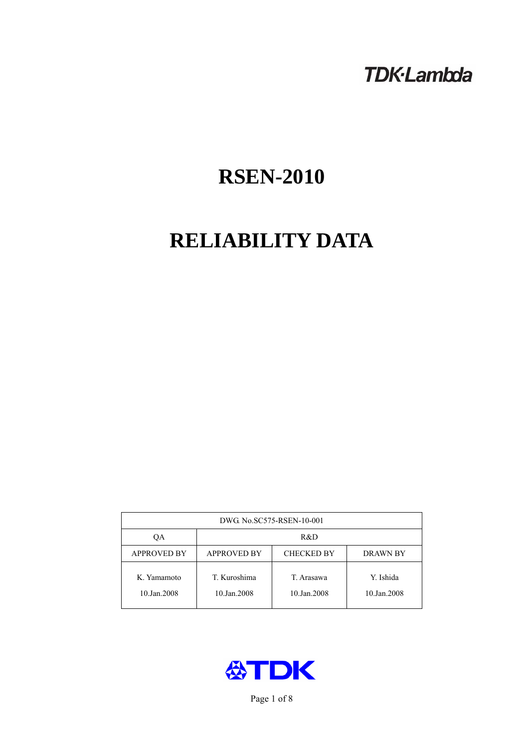## **TDK-Lambda**

# **RSEN-2010**

# **RELIABILITY DATA**

| DWG No.SC575-RSEN-10-001   |                                                            |                           |                          |  |  |
|----------------------------|------------------------------------------------------------|---------------------------|--------------------------|--|--|
| QA                         | R&D                                                        |                           |                          |  |  |
| <b>APPROVED BY</b>         | <b>APPROVED BY</b><br><b>CHECKED BY</b><br><b>DRAWN BY</b> |                           |                          |  |  |
| K. Yamamoto<br>10.Jan.2008 | T. Kuroshima<br>10.Jan.2008                                | T. Arasawa<br>10.Jan.2008 | Y. Ishida<br>10.Jan.2008 |  |  |



Page 1 of 8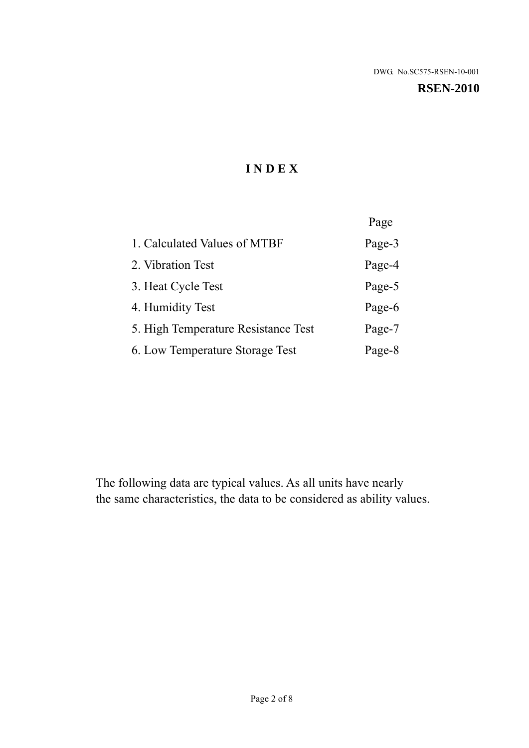#### **RSEN-2010**

## **I N D E X**

|                                     | Page   |
|-------------------------------------|--------|
| 1. Calculated Values of MTBF        | Page-3 |
| 2. Vibration Test                   | Page-4 |
| 3. Heat Cycle Test                  | Page-5 |
| 4. Humidity Test                    | Page-6 |
| 5. High Temperature Resistance Test | Page-7 |
| 6. Low Temperature Storage Test     | Page-8 |

The following data are typical values. As all units have nearly the same characteristics, the data to be considered as ability values.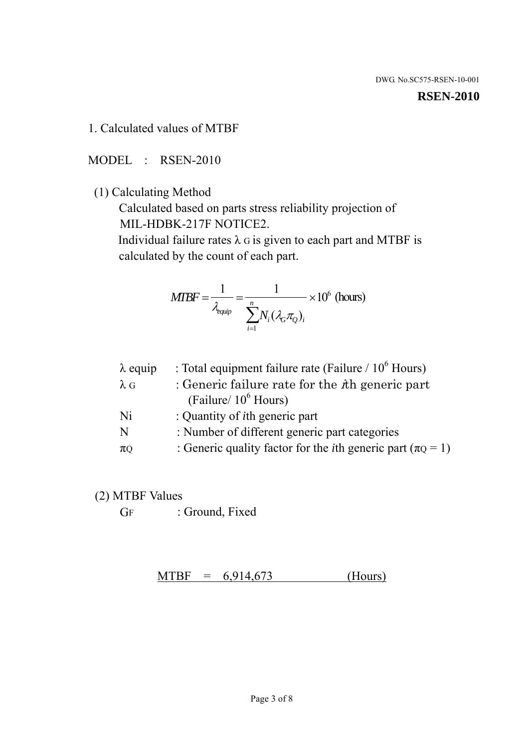#### **RSEN-2010**

1. Calculated values of MTBF

MODEL : RSEN-2010

(1) Calculating Method

 Calculated based on parts stress reliability projection of MIL-HDBK-217F NOTICE2.

Individual failure rates  $\lambda$  G is given to each part and MTBF is calculated by the count of each part.

$$
MTBF = \frac{1}{\lambda_{\text{equip}}} = \frac{1}{\sum_{i=1}^{n} N_i (\lambda_G \pi_Q)_i} \times 10^6 \text{ (hours)}
$$

| $\lambda$ equip | : Total equipment failure rate (Failure / $10^6$ Hours)                   |
|-----------------|---------------------------------------------------------------------------|
| $\lambda$ G     | : Generic failure rate for the $\hbar$ generic part                       |
|                 | (Failure/ $10^6$ Hours)                                                   |
| Ni              | : Quantity of <i>i</i> th generic part                                    |
| N               | : Number of different generic part categories                             |
| $\pi Q$         | : Generic quality factor for the <i>i</i> th generic part ( $\pi Q = 1$ ) |
|                 |                                                                           |

- (2) MTBF Values
	- GF : Ground, Fixed

 $MTBF = 6,914,673$  (Hours)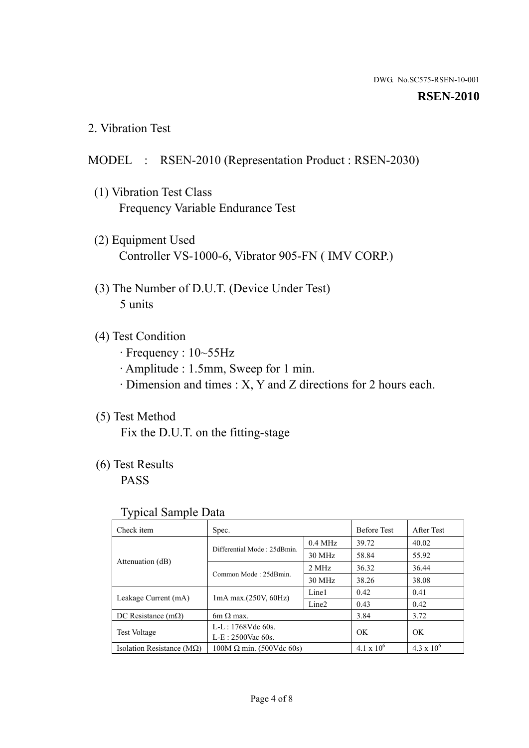#### **RSEN-2010**

2. Vibration Test

## MODEL : RSEN-2010 (Representation Product : RSEN-2030)

- (1) Vibration Test Class Frequency Variable Endurance Test
- (2) Equipment Used Controller VS-1000-6, Vibrator 905-FN ( IMV CORP.)
- (3) The Number of D.U.T. (Device Under Test) 5 units
- (4) Test Condition
	- · Frequency : 10~55Hz
	- · Amplitude : 1.5mm, Sweep for 1 min.
	- · Dimension and times : X, Y and Z directions for 2 hours each.

## (5) Test Method

Fix the D.U.T. on the fitting-stage

## (6) Test Results

PASS

#### Typical Sample Data

| . .                           |                                    |                   |                     |                     |
|-------------------------------|------------------------------------|-------------------|---------------------|---------------------|
| Check item                    | Spec.                              |                   | <b>Before Test</b>  | After Test          |
|                               | Differential Mode: 25dBmin.        | $0.4$ MHz         | 39.72               | 40.02               |
|                               |                                    | 30 MHz            | 58.84               | 55.92               |
| Attenuation (dB)              | Common Mode: 25dBmin.              | 2 MHz             | 36.32               | 36.44               |
|                               |                                    | 30 MHz            | 38.26               | 38.08               |
| Leakage Current (mA)          | Line1<br>$1mA$ max. $(250V, 60Hz)$ |                   | 0.42                | 0.41                |
|                               |                                    | Line <sub>2</sub> | 0.43                | 0.42                |
| DC Resistance $(m\Omega)$     | $6m \Omega$ max.                   |                   | 3.84                | 3.72                |
| <b>Test Voltage</b>           | $L-L: 1768Vdc$ 60s.                |                   | OK                  | OK.                 |
|                               | $L-E$ : 2500Vac 60s.               |                   |                     |                     |
| Isolation Resistance ( $MQ$ ) | $100M \Omega$ min. (500Vdc 60s)    |                   | $4.1 \times 10^{6}$ | $4.3 \times 10^{6}$ |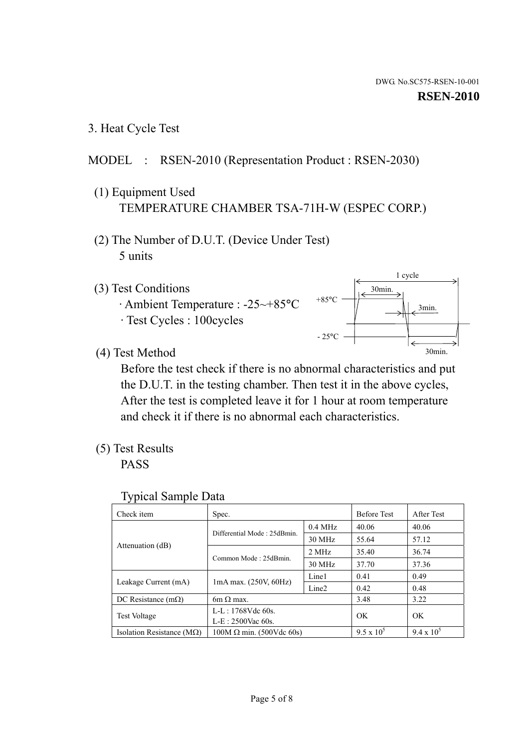3. Heat Cycle Test

## MODEL : RSEN-2010 (Representation Product : RSEN-2030)

- (1) Equipment Used TEMPERATURE CHAMBER TSA-71H-W (ESPEC CORP.)
- (2) The Number of D.U.T. (Device Under Test) 5 units
- (3) Test Conditions
	- · Ambient Temperature : -25~+85°C · Test Cycles : 100cycles
		-



(4) Test Method

 Before the test check if there is no abnormal characteristics and put the D.U.T. in the testing chamber. Then test it in the above cycles, After the test is completed leave it for 1 hour at room temperature and check it if there is no abnormal each characteristics.

(5) Test Results

PASS

| <b>Typical Sample Data</b> |  |  |
|----------------------------|--|--|
|----------------------------|--|--|

| Check item                    | Spec.                           |                     | <b>Before Test</b> | After Test        |
|-------------------------------|---------------------------------|---------------------|--------------------|-------------------|
|                               | Differential Mode: 25dBmin.     | $0.4\ \mathrm{MHz}$ | 40.06              | 40.06             |
|                               |                                 | 30 MHz              | 55.64              | 57.12             |
| Attenuation (dB)              | Common Mode: 25dBmin.           | 2 MHz               | 35.40              | 36.74             |
|                               |                                 | 30 MHz              | 37.70              | 37.36             |
|                               |                                 | Line1               | 0.41               | 0.49              |
| Leakage Current (mA)          | $1mA$ max. $(250V, 60Hz)$       | Line <sub>2</sub>   | 0.42               | 0.48              |
| DC Resistance $(m\Omega)$     | $6m \Omega$ max.                |                     | 3.48               | 3.22              |
|                               | L-L: 1768Vdc 60s.               |                     | OK                 | OK                |
| <b>Test Voltage</b>           | $L-E: 2500$ Vac 60s.            |                     |                    |                   |
| Isolation Resistance ( $MQ$ ) | $100M \Omega$ min. (500Vdc 60s) |                     | $9.5 \times 10^5$  | $9.4 \times 10^5$ |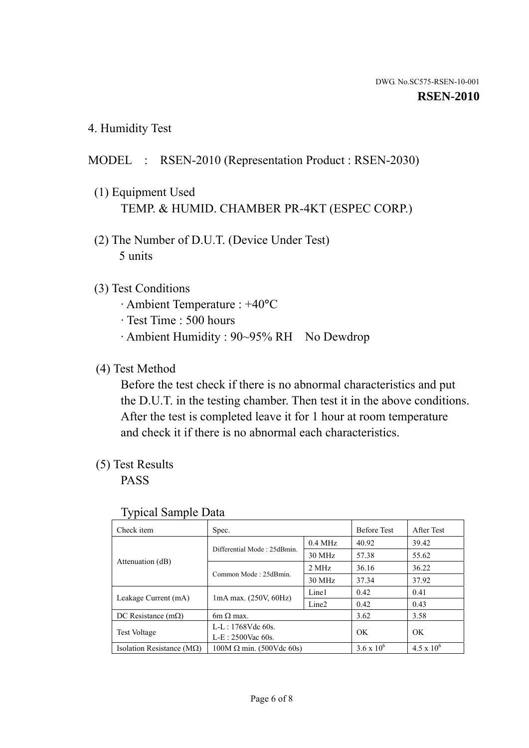4. Humidity Test

## MODEL : RSEN-2010 (Representation Product : RSEN-2030)

- (1) Equipment Used TEMP. & HUMID. CHAMBER PR-4KT (ESPEC CORP.)
- (2) The Number of D.U.T. (Device Under Test) 5 units

## (3) Test Conditions

- · Ambient Temperature : +40°C
- · Test Time : 500 hours
- · Ambient Humidity : 90~95% RH No Dewdrop

## (4) Test Method

 Before the test check if there is no abnormal characteristics and put the D.U.T. in the testing chamber. Then test it in the above conditions. After the test is completed leave it for 1 hour at room temperature and check it if there is no abnormal each characteristics.

## (5) Test Results

PASS

| . .                                |                                 |                   |                     |                     |
|------------------------------------|---------------------------------|-------------------|---------------------|---------------------|
| Check item                         | Spec.                           |                   | <b>Before Test</b>  | After Test          |
|                                    | Differential Mode: 25dBmin.     | $0.4$ MHz         | 40.92               | 39.42               |
|                                    |                                 | 30 MHz            | 57.38               | 55.62               |
| Attenuation (dB)                   | Common Mode: 25dBmin.           | 2 MHz             | 36.16               | 36.22               |
|                                    |                                 | 30 MHz            | 37.34               | 37.92               |
| Leakage Current (mA)               | $1mA$ max. $(250V, 60Hz)$       | Line1             | 0.42                | 0.41                |
|                                    |                                 | Line <sub>2</sub> | 0.42                | 0.43                |
| DC Resistance (m $\Omega$ )        | $6m \Omega$ max.                |                   | 3.62                | 3.58                |
| <b>Test Voltage</b>                | $L-L: 1768Vdc$ 60s.             |                   | OK                  | OK.                 |
|                                    | $L-E$ : 2500Vac 60s.            |                   |                     |                     |
| Isolation Resistance ( $M\Omega$ ) | $100M \Omega$ min. (500Vdc 60s) |                   | $3.6 \times 10^{6}$ | $4.5 \times 10^{6}$ |

#### Typical Sample Data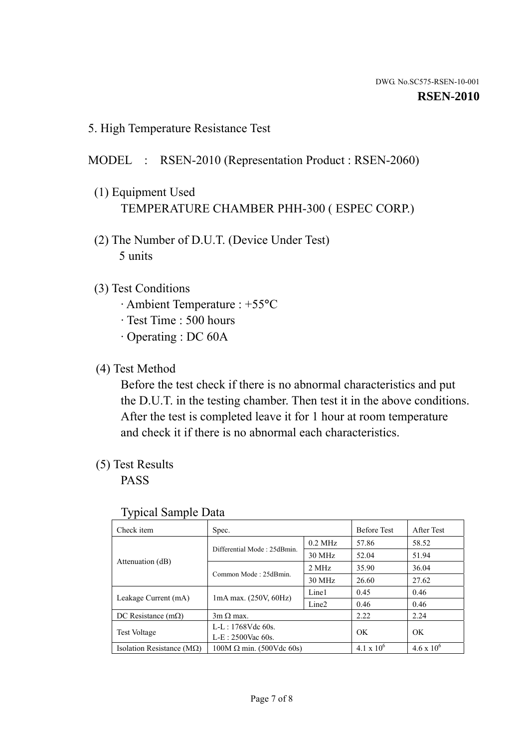5. High Temperature Resistance Test

## MODEL : RSEN-2010 (Representation Product : RSEN-2060)

- (1) Equipment Used TEMPERATURE CHAMBER PHH-300 ( ESPEC CORP.)
- (2) The Number of D.U.T. (Device Under Test) 5 units
- (3) Test Conditions
	- · Ambient Temperature : +55°C
	- · Test Time : 500 hours
	- · Operating : DC 60A
- (4) Test Method

 Before the test check if there is no abnormal characteristics and put the D.U.T. in the testing chamber. Then test it in the above conditions. After the test is completed leave it for 1 hour at room temperature and check it if there is no abnormal each characteristics.

(5) Test Results

PASS

| J 1                                |                                 |                   |                     |                     |
|------------------------------------|---------------------------------|-------------------|---------------------|---------------------|
| Check item                         | Spec.                           |                   | <b>Before Test</b>  | After Test          |
|                                    | Differential Mode: 25dBmin.     | $0.2$ MHz         | 57.86               | 58.52               |
|                                    |                                 | 30 MHz            | 52.04               | 51.94               |
| Attenuation (dB)                   | Common Mode: 25dBmin.           | 2 MHz             | 35.90               | 36.04               |
|                                    |                                 | 30 MHz            | 26.60               | 27.62               |
|                                    |                                 | Line1             | 0.45                | 0.46                |
| Leakage Current (mA)               | $1mA$ max. $(250V, 60Hz)$       | Line <sub>2</sub> | 0.46                | 0.46                |
| DC Resistance $(m\Omega)$          | $3m \Omega$ max.                |                   | 2.22                | 2.24                |
|                                    | $L-L: 1768Vdc$ 60s.             |                   | OK                  | OK                  |
| <b>Test Voltage</b>                | $L-E: 2500$ Vac 60s.            |                   |                     |                     |
| Isolation Resistance ( $M\Omega$ ) | $100M \Omega$ min. (500Vdc 60s) |                   | $4.1 \times 10^{6}$ | $4.6 \times 10^{6}$ |

#### Typical Sample Data